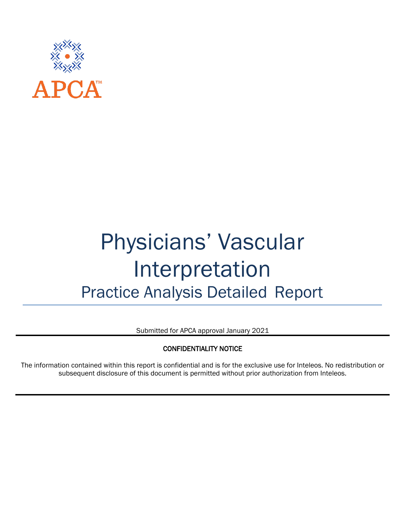

# Physicians' Vascular Interpretation Practice Analysis Detailed Report

Submitted for APCA approval January 2021

#### CONFIDENTIALITY NOTICE

The information contained within this report is confidential and is for the exclusive use for Inteleos. No redistribution or subsequent disclosure of this document is permitted without prior authorization from Inteleos.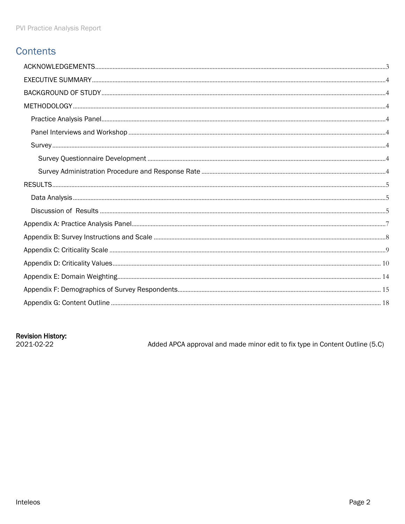### **Contents**

#### **Revision History:**

2021-02-22

Added APCA approval and made minor edit to fix type in Content Outline (5.C)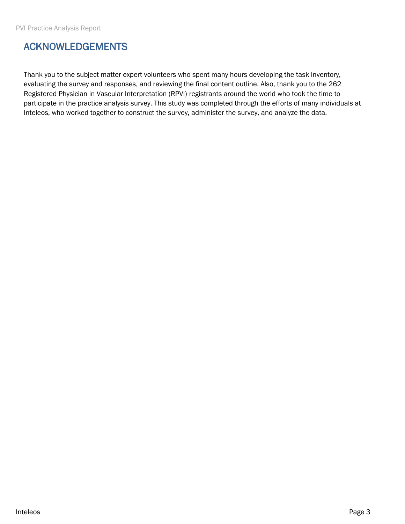### <span id="page-2-0"></span>ACKNOWLEDGEMENTS

Thank you to the subject matter expert volunteers who spent many hours developing the task inventory, evaluating the survey and responses, and reviewing the final content outline. Also, thank you to the 262 Registered Physician in Vascular Interpretation (RPVI) registrants around the world who took the time to participate in the practice analysis survey. This study was completed through the efforts of many individuals at Inteleos, who worked together to construct the survey, administer the survey, and analyze the data.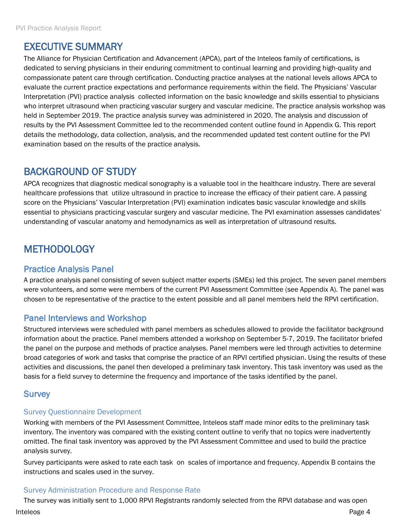### <span id="page-3-0"></span>EXECUTIVE SUMMARY

The Alliance for Physician Certification and Advancement (APCA), part of the Inteleos family of certifications, is dedicated to serving physicians in their enduring commitment to continual learning and providing high-quality and compassionate patent care through certification. Conducting practice analyses at the national levels allows APCA to evaluate the current practice expectations and performance requirements within the field. The Physicians' Vascular Interpretation (PVI) practice analysis collected information on the basic knowledge and skills essential to physicians who interpret ultrasound when practicing vascular surgery and vascular medicine. The practice analysis workshop was held in September 2019. The practice analysis survey was administered in 2020. The analysis and discussion of results by the PVI Assessment Committee led to the recommended content outline found in Appendix G. This report details the methodology, data collection, analysis, and the recommended updated test content outline for the PVI examination based on the results of the practice analysis.

### <span id="page-3-1"></span>BACKGROUND OF STUDY

APCA recognizes that diagnostic medical sonography is a valuable tool in the healthcare industry. There are several healthcare professions that utilize ultrasound in practice to increase the efficacy of their patient care. A passing score on the Physicians' Vascular Interpretation (PVI) examination indicates basic vascular knowledge and skills essential to physicians practicing vascular surgery and vascular medicine. The PVI examination assesses candidates' understanding of vascular anatomy and hemodynamics as well as interpretation of ultrasound results.

### <span id="page-3-2"></span>**METHODOLOGY**

#### <span id="page-3-3"></span>Practice Analysis Panel

A practice analysis panel consisting of seven subject matter experts (SMEs) led this project. The seven panel members were volunteers, and some were members of the current PVI Assessment Committee (see Appendix A). The panel was chosen to be representative of the practice to the extent possible and all panel members held the RPVI certification.

#### <span id="page-3-4"></span>Panel Interviews and Workshop

Structured interviews were scheduled with panel members as schedules allowed to provide the facilitator background information about the practice. Panel members attended a workshop on September 5-7, 2019. The facilitator briefed the panel on the purpose and methods of practice analyses. Panel members were led through activities to determine broad categories of work and tasks that comprise the practice of an RPVI certified physician. Using the results of these activities and discussions, the panel then developed a preliminary task inventory. This task inventory was used as the basis for a field survey to determine the frequency and importance of the tasks identified by the panel.

#### <span id="page-3-5"></span>**Survey**

#### <span id="page-3-6"></span>Survey Questionnaire Development

Working with members of the PVI Assessment Committee, Inteleos staff made minor edits to the preliminary task inventory. The inventory was compared with the existing content outline to verify that no topics were inadvertently omitted. The final task inventory was approved by the PVI Assessment Committee and used to build the practice analysis survey.

Survey participants were asked to rate each task on scales of importance and frequency. Appendix B contains the instructions and scales used in the survey.

#### <span id="page-3-7"></span>Survey Administration Procedure and Response Rate

Inteleos Page 4 The survey was initially sent to 1,000 RPVI Registrants randomly selected from the RPVI database and was open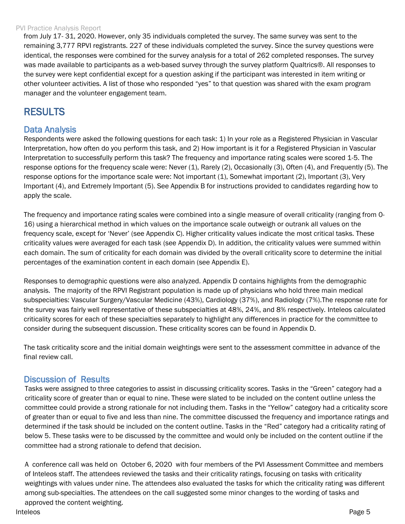#### PVI Practice Analysis Report

from July 17- 31, 2020. However, only 35 individuals completed the survey. The same survey was sent to the remaining 3,777 RPVI registrants. 227 of these individuals completed the survey. Since the survey questions were identical, the responses were combined for the survey analysis for a total of 262 completed responses. The survey was made available to participants as a web-based survey through the survey platform Qualtrics®. All responses to the survey were kept confidential except for a question asking if the participant was interested in item writing or other volunteer activities. A list of those who responded "yes" to that question was shared with the exam program manager and the volunteer engagement team.

### <span id="page-4-0"></span>RESULTS

#### <span id="page-4-1"></span>Data Analysis

Respondents were asked the following questions for each task: 1) In your role as a Registered Physician in Vascular Interpretation, how often do you perform this task, and 2) How important is it for a Registered Physician in Vascular Interpretation to successfully perform this task? The frequency and importance rating scales were scored 1-5. The response options for the frequency scale were: Never (1), Rarely (2), Occasionally (3), Often (4), and Frequently (5). The response options for the importance scale were: Not important (1), Somewhat important (2), Important (3), Very Important (4), and Extremely Important (5). See Appendix B for instructions provided to candidates regarding how to apply the scale.

The frequency and importance rating scales were combined into a single measure of overall criticality (ranging from 0- 16) using a hierarchical method in which values on the importance scale outweigh or outrank all values on the frequency scale, except for 'Never' (see Appendix C). Higher criticality values indicate the most critical tasks. These criticality values were averaged for each task (see Appendix D). In addition, the criticality values were summed within each domain. The sum of criticality for each domain was divided by the overall criticality score to determine the initial percentages of the examination content in each domain (see Appendix E).

Responses to demographic questions were also analyzed. Appendix D contains highlights from the demographic analysis. The majority of the RPVI Registrant population is made up of physicians who hold three main medical subspecialties: Vascular Surgery/Vascular Medicine (43%), Cardiology (37%), and Radiology (7%).The response rate for the survey was fairly well representative of these subspecialties at 48%, 24%, and 8% respectively. Inteleos calculated criticality scores for each of these specialties separately to highlight any differences in practice for the committee to consider during the subsequent discussion. These criticality scores can be found in Appendix D.

The task criticality score and the initial domain weightings were sent to the assessment committee in advance of the final review call.

#### <span id="page-4-2"></span>Discussion of Results

Tasks were assigned to three categories to assist in discussing criticality scores. Tasks in the "Green" category had a criticality score of greater than or equal to nine. These were slated to be included on the content outline unless the committee could provide a strong rationale for not including them. Tasks in the "Yellow" category had a criticality score of greater than or equal to five and less than nine. The committee discussed the frequency and importance ratings and determined if the task should be included on the content outline. Tasks in the "Red" category had a criticality rating of below 5. These tasks were to be discussed by the committee and would only be included on the content outline if the committee had a strong rationale to defend that decision.

Inteleos Page 5 A conference call was held on October 6, 2020 with four members of the PVI Assessment Committee and members of Inteleos staff. The attendees reviewed the tasks and their criticality ratings, focusing on tasks with criticality weightings with values under nine. The attendees also evaluated the tasks for which the criticality rating was different among sub-specialties. The attendees on the call suggested some minor changes to the wording of tasks and approved the content weighting.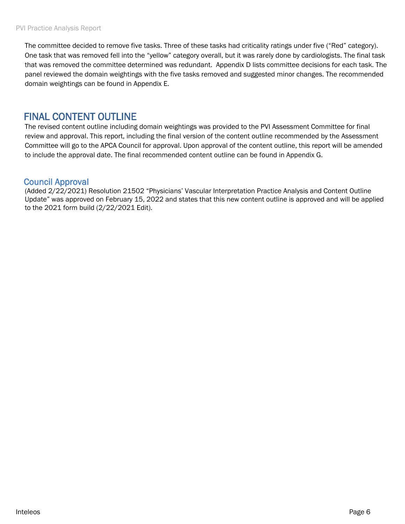The committee decided to remove five tasks. Three of these tasks had criticality ratings under five ("Red" category). One task that was removed fell into the "yellow" category overall, but it was rarely done by cardiologists. The final task that was removed the committee determined was redundant. Appendix D lists committee decisions for each task. The panel reviewed the domain weightings with the five tasks removed and suggested minor changes. The recommended domain weightings can be found in Appendix E.

### FINAL CONTENT OUTLINE

The revised content outline including domain weightings was provided to the PVI Assessment Committee for final review and approval. This report, including the final version of the content outline recommended by the Assessment Committee will go to the APCA Council for approval. Upon approval of the content outline, this report will be amended to include the approval date. The final recommended content outline can be found in Appendix G.

#### Council Approval

(Added 2/22/2021) Resolution 21502 "Physicians' Vascular Interpretation Practice Analysis and Content Outline Update" was approved on February 15, 2022 and states that this new content outline is approved and will be applied to the 2021 form build (2/22/2021 Edit).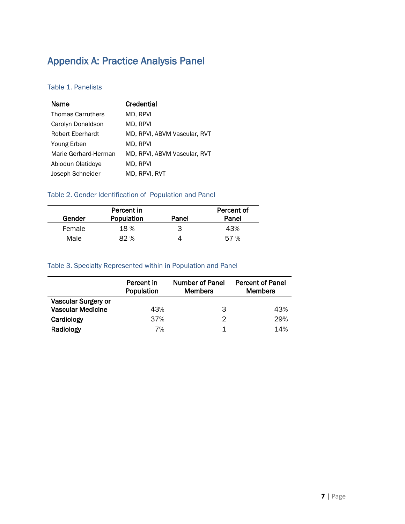### <span id="page-6-0"></span>Appendix A: Practice Analysis Panel

#### Table 1. Panelists

| Name                     | Credential                   |
|--------------------------|------------------------------|
| <b>Thomas Carruthers</b> | MD, RPVI                     |
| Carolyn Donaldson        | MD, RPVI                     |
| Robert Eberhardt         | MD, RPVI, ABVM Vascular, RVT |
| Young Erben              | MD. RPVI                     |
| Marie Gerhard-Herman     | MD, RPVI, ABVM Vascular, RVT |
| Abiodun Olatidove        | MD, RPVI                     |
| Joseph Schneider         | MD, RPVI, RVT                |

#### Table 2. Gender Identification of Population and Panel

|        | Percent in |       | Percent of |
|--------|------------|-------|------------|
| Gender | Population | Panel | Panel      |
| Female | 18%        | З     | 43%        |
| Male   | 82 %       |       | 57 %       |

#### Table 3. Specialty Represented within in Population and Panel

|                          | Percent in<br>Population | Number of Panel<br><b>Members</b> | <b>Percent of Panel</b><br><b>Members</b> |
|--------------------------|--------------------------|-----------------------------------|-------------------------------------------|
| Vascular Surgery or      |                          |                                   |                                           |
| <b>Vascular Medicine</b> | 43%                      | 3                                 | 43%                                       |
| Cardiology               | 37%                      | 2                                 | 29%                                       |
| Radiology                | 7%                       |                                   | 14%                                       |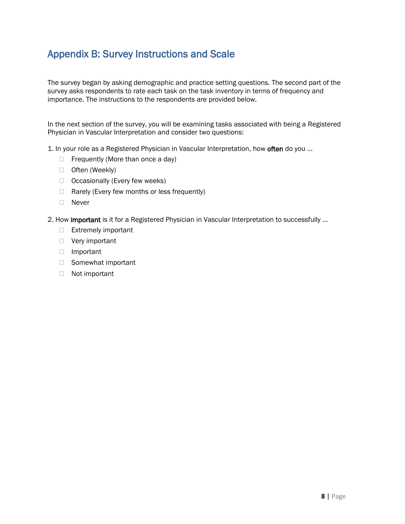### <span id="page-7-0"></span>Appendix B: Survey Instructions and Scale

The survey began by asking demographic and practice setting questions. The second part of the survey asks respondents to rate each task on the task inventory in terms of frequency and importance. The instructions to the respondents are provided below.

In the next section of the survey, you will be examining tasks associated with being a Registered Physician in Vascular Interpretation and consider two questions:

1. In your role as a Registered Physician in Vascular Interpretation, how often do you ...

- $\Box$  Frequently (More than once a day)
- □ Often (Weekly)
- □ Occasionally (Every few weeks)
- $\Box$  Rarely (Every few months or less frequently)
- Never

2. How important is it for a Registered Physician in Vascular Interpretation to successfully ...

- Extremely important
- □ Very important
- □ Important
- □ Somewhat important
- Not important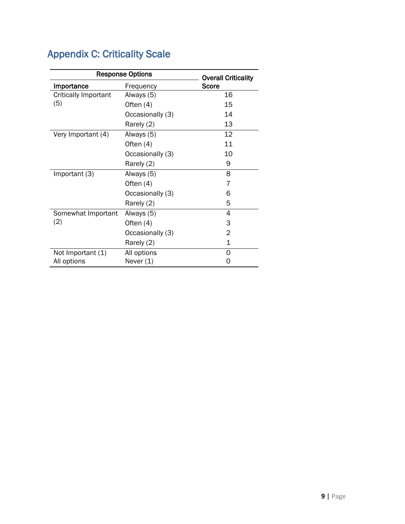| <b>Response Options</b>     | <b>Overall Criticality</b> |       |
|-----------------------------|----------------------------|-------|
| Importance                  | Frequency                  | Score |
| <b>Critically Important</b> | Always (5)                 | 16    |
| (5)                         | Often (4)                  | 15    |
|                             | Occasionally (3)           | 14    |
|                             | Rarely (2)                 | 13    |
| Very Important (4)          | Always (5)                 | 12    |
|                             | Often (4)                  | 11    |
|                             | Occasionally (3)           | 10    |
|                             | Rarely (2)                 | 9     |
| Important (3)               | Always (5)                 | 8     |
|                             | Often (4)                  | 7     |
|                             | Occasionally (3)           | 6     |
|                             | Rarely (2)                 | 5     |
| Somewhat Important          | Always (5)                 | 4     |
| (2)                         | Often (4)                  | 3     |
|                             | Occasionally (3)           | 2     |
|                             | Rarely (2)                 | 1     |
| Not Important (1)           | All options                | Ω     |
| All options                 | Never (1)                  | O     |

# <span id="page-8-0"></span>Appendix C: Criticality Scale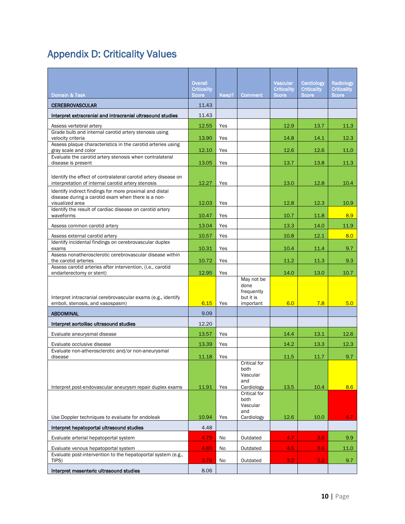# <span id="page-9-0"></span>Appendix D: Criticality Values

|                                                                                                                                  | <b>Overall</b><br><b>Criticality</b> |            |                                                            | <b>Vascular</b><br><b>Criticality</b> | Cardiology<br><b>Criticality</b> | <b>Radiology</b><br><b>Criticality</b> |
|----------------------------------------------------------------------------------------------------------------------------------|--------------------------------------|------------|------------------------------------------------------------|---------------------------------------|----------------------------------|----------------------------------------|
| Domain & Task                                                                                                                    | <b>Score</b>                         | Keep?      | <b>Comment</b>                                             | <b>Score</b>                          | <b>Score</b>                     | <b>Score</b>                           |
| <b>CEREBROVASCULAR</b>                                                                                                           | 11.43                                |            |                                                            |                                       |                                  |                                        |
| Interpret extracranial and intracranial ultrasound studies                                                                       | 11.43                                |            |                                                            |                                       |                                  |                                        |
| Assess vertebral artery                                                                                                          | 12.55                                | Yes        |                                                            | 12.9                                  | 13.7                             | 11.3                                   |
| Grade bulb and internal carotid artery stenosis using<br>velocity criteria                                                       | 13.90                                | Yes        |                                                            | 14.8                                  | 14.1                             | 12.3                                   |
| Assess plaque characteristics in the carotid arteries using<br>gray scale and color                                              | 12.10                                | Yes        |                                                            | 12.6                                  | 12.6                             | 11.0                                   |
| Evaluate the carotid artery stenosis when contralateral<br>disease is present                                                    | 13.05                                | Yes        |                                                            | 13.7                                  | 13.8                             | 11.3                                   |
| Identify the effect of contralateral carotid artery disease on<br>interpretation of internal carotid artery stenosis             | 12.27                                | Yes        |                                                            | 13.0                                  | 12.8                             | 10.4                                   |
| Identify indirect findings for more proximal and distal<br>disease during a carotid exam when there is a non-<br>visualized area | 12.03                                | Yes        |                                                            | 12.8                                  | 12.3                             | 10.9                                   |
| Identify the result of cardiac disease on carotid artery<br>waveforms                                                            | 10.47                                | Yes        |                                                            | 10.7                                  | 11.8                             | 8.9                                    |
| Assess common carotid artery                                                                                                     | 13.04                                | Yes        |                                                            | 13.3                                  | 14.0                             | 11.9                                   |
| Assess external carotid artery                                                                                                   | 10.57                                | Yes        |                                                            | 10.8                                  | 12.1                             | 8.0                                    |
| Identify incidental findings on cerebrovascular duplex<br>exams                                                                  | 10.31                                | Yes        |                                                            | 10.4                                  | 11.4                             | 9.7                                    |
| Assess nonatherosclerotic cerebrovascular disease within<br>the carotid arteries                                                 | 10.72                                | Yes        |                                                            | 11.2                                  | 11.3                             | 9.3                                    |
| Assess carotid arteries after intervention, (i.e., carotid<br>endarterectomy or stent)                                           | 12.95                                |            |                                                            | 14.0                                  | 13.0                             | 10.7                                   |
| Interpret intracranial cerebrovascular exams (e.g., identify<br>emboli, stenosis, and vasospasm)                                 | 6.15                                 | Yes<br>Yes | May not be<br>done<br>frequently<br>but it is<br>important | 6.0                                   | 7.8                              | 5.0                                    |
| <b>ABDOMINAL</b>                                                                                                                 | 9.09                                 |            |                                                            |                                       |                                  |                                        |
| Interpret aortoiliac ultrasound studies                                                                                          | 12.20                                |            |                                                            |                                       |                                  |                                        |
| Evaluate aneurysmal disease                                                                                                      | 13.57                                | Yes        |                                                            | 14.4                                  | 13.1                             | 12.6                                   |
|                                                                                                                                  | 13.39                                | Yes        |                                                            | 14.2                                  | 13.3                             | 12.3                                   |
| Evaluate occlusive disease<br>Evaluate non-atherosclerotic and/or non-aneurysmal                                                 |                                      |            |                                                            |                                       |                                  |                                        |
| disease                                                                                                                          | 11.18                                | Yes        | Critical for                                               | 11.5                                  | 11.7                             | 9.7                                    |
| Interpret post-endovascular aneurysm repair duplex exams                                                                         | 11.91                                | Yes        | both<br>Vascular<br>and<br>Cardiology                      | 13.5                                  | 10.4                             | 8.6                                    |
|                                                                                                                                  |                                      |            | <b>Critical for</b><br>both<br>Vascular<br>and             |                                       |                                  |                                        |
| Use Doppler techniques to evaluate for endoleak                                                                                  | 10.94                                | Yes        | Cardiology                                                 | 12.6                                  | 10.0                             | 4.7                                    |
| Interpret hepatoportal ultrasound studies                                                                                        | 4.48                                 |            |                                                            |                                       |                                  |                                        |
| Evaluate arterial hepatoportal system                                                                                            | 4.79                                 | No         | Outdated                                                   | 4.7                                   | 3.6                              | 9.9 <sub>°</sub>                       |
| Evaluate venous hepatoportal system                                                                                              | 4.85                                 | No         | Outdated                                                   | 4.5                                   | 3.6                              | 11.0                                   |
| Evaluate post-intervention to the hepatoportal system (e.g.,<br>TIPS)                                                            | 3.79                                 | No         | Outdated                                                   | 3.2                                   | 3.2                              | 9.7                                    |
| Interpret mesenteric ultrasound studies                                                                                          | 8.06                                 |            |                                                            |                                       |                                  |                                        |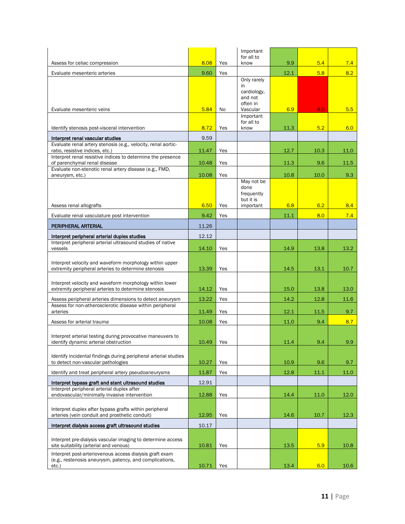| Assess for celiac compression                                                                                                  | 8.08  | Yes | Important<br>for all to<br>know                            | 9.9  | 5.4  | 7.4  |
|--------------------------------------------------------------------------------------------------------------------------------|-------|-----|------------------------------------------------------------|------|------|------|
| Evaluate mesenteric arteries                                                                                                   | 9.60  | Yes |                                                            | 12.1 | 5.8  | 8.2  |
|                                                                                                                                |       |     | Only rarely<br>in.<br>cardiology,<br>and not<br>often in   |      |      |      |
| Evaluate mesenteric veins                                                                                                      | 5.84  | No  | Vascular<br>Important<br>for all to                        | 6.9  | 4.0  | 5.5  |
| Identify stenosis post-visceral intervention                                                                                   | 8.72  | Yes | know                                                       | 11.3 | 5.2  | 6.0  |
| Interpret renal vascular studies                                                                                               | 9.59  |     |                                                            |      |      |      |
| Evaluate renal artery stenosis (e.g., velocity, renal aortic-<br>ratio, resistive indices, etc.)                               | 11.47 | Yes |                                                            | 12.7 | 10.3 | 11.0 |
| Interpret renal resistive indices to determine the presence<br>of parenchymal renal disease                                    | 10.48 | Yes |                                                            | 11.3 | 9.6  | 11.5 |
| Evaluate non-stenotic renal artery disease (e.g., FMD,<br>aneurysm, etc.)                                                      | 10.08 | Yes |                                                            | 10.8 | 10.0 | 9.3  |
| Assess renal allografts                                                                                                        | 6.50  | Yes | May not be<br>done<br>frequently<br>but it is<br>important | 6.8  | 6.2  | 8.4  |
| Evaluate renal vasculature post intervention                                                                                   | 9.42  | Yes |                                                            | 11.1 | 8.0  | 7.4  |
| PERIPHERAL ARTERIAL                                                                                                            | 11.26 |     |                                                            |      |      |      |
| Interpret peripheral arterial duplex studies                                                                                   | 12.12 |     |                                                            |      |      |      |
| Interpret peripheral arterial ultrasound studies of native<br>vessels                                                          | 14.10 | Yes |                                                            | 14.9 | 13.8 | 13.2 |
| Interpret velocity and waveform morphology within upper<br>extremity peripheral arteries to determine stenosis                 | 13.39 | Yes |                                                            | 14.5 | 13.1 | 10.7 |
| Interpret velocity and waveform morphology within lower<br>extremity peripheral arteries to determine stenosis                 | 14.12 | Yes |                                                            | 15.0 | 13.8 | 13.0 |
| Assess peripheral arteries dimensions to detect aneurysm                                                                       | 13.22 | Yes |                                                            | 14.2 | 12.8 | 11.6 |
| Assess for non-atherosclerotic disease within peripheral<br>arteries                                                           | 11.49 | Yes |                                                            | 12.1 | 11.5 | 9.7  |
| Assess for arterial trauma                                                                                                     | 10.08 | Yes |                                                            | 11.0 | 9.4  | 8.7  |
| Interpret arterial testing during provocative maneuvers to<br>identify dynamic arterial obstruction                            | 10.49 | Yes |                                                            | 11.4 | 9.4  | 9.9  |
|                                                                                                                                |       |     |                                                            |      |      |      |
| Identify incidental findings during peripheral arterial studies<br>to detect non-vascular pathologies                          | 10.27 | Yes |                                                            | 10.9 | 9.6  | 9.7  |
| Identify and treat peripheral artery pseudoaneurysms                                                                           | 11.87 | Yes |                                                            | 12.8 | 11.1 | 11.0 |
| Interpret bypass graft and stent ultrasound studies                                                                            | 12.91 |     |                                                            |      |      |      |
| Interpret peripheral arterial duplex after<br>endovascular/minimally invasive intervention                                     | 12.88 | Yes |                                                            | 14.4 | 11.0 | 12.0 |
|                                                                                                                                |       |     |                                                            |      |      |      |
| Interpret duplex after bypass grafts within peripheral<br>arteries (vein conduit and prosthetic conduit)                       | 12.95 | Yes |                                                            | 14.6 | 10.7 | 12.3 |
| Interpret dialysis access graft ultrasound studies                                                                             | 10.17 |     |                                                            |      |      |      |
| Interpret pre-dialysis vascular imaging to determine access<br>site suitability (arterial and venous)                          | 10.81 | Yes |                                                            | 13.5 | 5.9  | 10.8 |
| Interpret post-arteriovenous access dialysis graft exam<br>(e.g., restenosis aneurysm, patency, and complications,<br>$etc.$ ) | 10.71 | Yes |                                                            | 13.4 | 6.0  | 10.6 |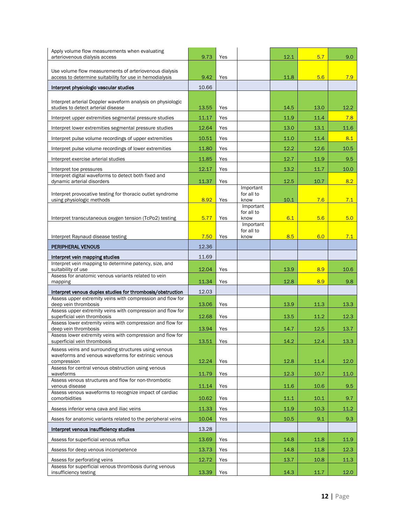| Apply volume flow measurements when evaluating<br>arteriovenous dialysis access                                   | 9.73  | Yes |                         | 12.1 | 5.7  | 9.0  |
|-------------------------------------------------------------------------------------------------------------------|-------|-----|-------------------------|------|------|------|
|                                                                                                                   |       |     |                         |      |      |      |
| Use volume flow measurements of arteriovenous dialysis<br>access to determine suitability for use in hemodialysis | 9.42  | Yes |                         | 11.8 | 5.6  | 7.9  |
| Interpret physiologic vascular studies                                                                            | 10.66 |     |                         |      |      |      |
|                                                                                                                   |       |     |                         |      |      |      |
| Interpret arterial Doppler waveform analysis on physiologic<br>studies to detect arterial disease                 | 13.55 | Yes |                         | 14.5 | 13.0 | 12.2 |
| Interpret upper extremities segmental pressure studies                                                            | 11.17 | Yes |                         | 11.9 | 11.4 | 7.8  |
| Interpret lower extremities segmental pressure studies                                                            | 12.64 | Yes |                         | 13.0 | 13.1 | 11.6 |
| Interpret pulse volume recordings of upper extremities                                                            | 10.51 | Yes |                         | 11.0 | 11.4 | 8.1  |
| Interpret pulse volume recordings of lower extremities                                                            | 11.80 | Yes |                         | 12.2 | 12.6 | 10.5 |
| Interpret exercise arterial studies                                                                               | 11.85 | Yes |                         | 12.7 | 11.9 | 9.5  |
| Interpret toe pressures                                                                                           | 12.17 | Yes |                         | 13.2 | 11.7 | 10.0 |
| Interpret digital waveforms to detect both fixed and<br>dynamic arterial disorders                                | 11.37 | Yes |                         | 12.5 | 10.7 | 8.2  |
| Interpret provocative testing for thoracic outlet syndrome                                                        |       |     | Important<br>for all to |      |      |      |
| using physiologic methods                                                                                         | 8.92  | Yes | know                    | 10.1 | 7.6  | 7.1  |
|                                                                                                                   |       |     | Important<br>for all to |      |      |      |
| Interpret transcutaneous oxygen tension (TcPo2) testing                                                           | 5.77  | Yes | know<br>Important       | 6.1  | 5.6  | 5.0  |
|                                                                                                                   |       |     | for all to              |      |      |      |
| Interpret Raynaud disease testing                                                                                 | 7.50  | Yes | know                    | 8.5  | 6.0  | 7.1  |
| PERIPHERAL VENOUS                                                                                                 | 12.36 |     |                         |      |      |      |
| Interpret vein mapping studies<br>Interpret vein mapping to determine patency, size, and                          | 11.69 |     |                         |      |      |      |
| suitability of use<br>Assess for anatomic venous variants related to vein                                         | 12.04 | Yes |                         | 13.9 | 8.9  | 10.6 |
| mapping                                                                                                           | 11.34 | Yes |                         | 12.8 | 8.9  | 9.8  |
| Interpret venous duplex studies for thrombosis/obstruction                                                        | 12.03 |     |                         |      |      |      |
| Assess upper extremity veins with compression and flow for<br>deep vein thrombosis                                | 13.06 | Yes |                         | 13.9 | 11.3 | 13.3 |
| Assess upper extremity veins with compression and flow for<br>superficial vein thrombosis                         | 12.68 | Yes |                         | 13.5 | 11.2 | 12.3 |
| Assess lower extremity veins with compression and flow for<br>deep vein thrombosis                                | 13.94 | Yes |                         | 14.7 | 12.5 | 13.7 |
| Assess lower extremity veins with compression and flow for                                                        | 13.51 | Yes |                         | 14.2 | 12.4 | 13.3 |
| superficial vein thrombosis<br>Assess veins and surrounding structures using venous                               |       |     |                         |      |      |      |
| waveforms and venous waveforms for extrinsic venous<br>compression                                                | 12.24 | Yes |                         | 12.8 | 11.4 | 12.0 |
| Assess for central venous obstruction using venous                                                                |       |     |                         |      |      |      |
| waveforms<br>Assess venous structures and flow for non-thrombotic                                                 | 11.79 | Yes |                         | 12.3 | 10.7 | 11.0 |
| venous disease<br>Assess venous waveforms to recognize impact of cardiac                                          | 11.14 | Yes |                         | 11.6 | 10.6 | 9.5  |
| comorbidities                                                                                                     | 10.62 | Yes |                         | 11.1 | 10.1 | 9.7  |
| Assess inferior vena cava and iliac veins                                                                         | 11.33 | Yes |                         | 11.9 | 10.3 | 11.2 |
| Asses for anatomic variants related to the peripheral veins                                                       | 10.04 | Yes |                         | 10.5 | 9.1  | 9.3  |
| Interpret venous insufficiency studies                                                                            | 13.28 |     |                         |      |      |      |
| Assess for superficial venous reflux                                                                              | 13.69 | Yes |                         | 14.8 | 11.8 | 11.9 |
| Assess for deep venous incompetence                                                                               | 13.73 | Yes |                         | 14.8 | 11.8 | 12.3 |
| Assess for perforating veins                                                                                      |       |     |                         |      |      |      |
| Assess for superficial venous thrombosis during venous                                                            | 12.72 | Yes |                         | 13.7 | 10.8 | 11.3 |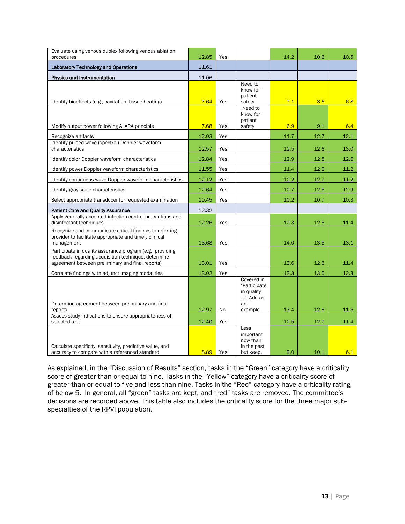| Evaluate using venous duplex following venous ablation                                                                                                               |       |     |                                                                         |      |      |      |
|----------------------------------------------------------------------------------------------------------------------------------------------------------------------|-------|-----|-------------------------------------------------------------------------|------|------|------|
| procedures                                                                                                                                                           | 12.85 | Yes |                                                                         | 14.2 | 10.6 | 10.5 |
| <b>Laboratory Technology and Operations</b>                                                                                                                          | 11.61 |     |                                                                         |      |      |      |
| Physics and Instrumentation                                                                                                                                          | 11.06 |     |                                                                         |      |      |      |
| Identify bioeffects (e.g., cavitation, tissue heating)                                                                                                               | 7.64  | Yes | Need to<br>know for<br>patient<br>safety<br>Need to                     | 7.1  | 8.6  | 6.8  |
| Modify output power following ALARA principle                                                                                                                        | 7.68  | Yes | know for<br>patient<br>safety                                           | 6.9  | 9.1  | 6.4  |
| Recognize artifacts                                                                                                                                                  | 12.03 | Yes |                                                                         | 11.7 | 12.7 | 12.1 |
| Identify pulsed wave (spectral) Doppler waveform<br>characteristics                                                                                                  | 12.57 | Yes |                                                                         | 12.5 | 12.6 | 13.0 |
| Identify color Doppler waveform characteristics                                                                                                                      | 12.84 | Yes |                                                                         | 12.9 | 12.8 | 12.6 |
| Identify power Doppler waveform characteristics                                                                                                                      | 11.55 | Yes |                                                                         | 11.4 | 12.0 | 11.2 |
| Identify continuous wave Doppler waveform characteristics                                                                                                            | 12.12 | Yes |                                                                         | 12.2 | 12.7 | 11.2 |
| Identify gray-scale characteristics                                                                                                                                  | 12.64 | Yes |                                                                         | 12.7 | 12.5 | 12.9 |
| Select appropriate transducer for requested examination                                                                                                              | 10.45 | Yes |                                                                         | 10.2 | 10.7 | 10.3 |
| <b>Patient Care and Quality Assurance</b>                                                                                                                            | 12.32 |     |                                                                         |      |      |      |
| Apply generally accepted infection control precautions and<br>disinfectant techniques                                                                                | 12.26 | Yes |                                                                         | 12.3 | 12.5 | 11.4 |
| Recognize and communicate critical findings to referring<br>provider to facilitate appropriate and timely clinical<br>management                                     | 13.68 | Yes |                                                                         | 14.0 | 13.5 | 13.1 |
| Participate in quality assurance program (e.g., providing<br>feedback regarding acquisition technique, determine<br>agreement between preliminary and final reports) | 13.01 | Yes |                                                                         | 13.6 | 12.6 | 11.4 |
| Correlate findings with adjunct imaging modalities                                                                                                                   | 13.02 | Yes |                                                                         | 13.3 | 13.0 | 12.3 |
| Determine agreement between preliminary and final<br>reports                                                                                                         | 12.97 | No  | Covered in<br>"Participate<br>in quality<br>". Add as<br>an<br>example. | 13.4 | 12.6 | 11.5 |
| Assess study indications to ensure appropriateness of<br>selected test                                                                                               | 12.40 | Yes |                                                                         | 12.5 | 12.7 | 11.4 |
| Calculate specificity, sensitivity, predictive value, and<br>accuracy to compare with a referenced standard                                                          | 8.89  | Yes | Less<br>important<br>now than<br>in the past<br>but keep.               | 9.0  | 10.1 | 6.1  |

As explained, in the "Discussion of Results" section, tasks in the "Green" category have a criticality score of greater than or equal to nine. Tasks in the "Yellow" category have a criticality score of greater than or equal to five and less than nine. Tasks in the "Red" category have a criticality rating of below 5. In general, all "green" tasks are kept, and "red" tasks are removed. The committee's decisions are recorded above. This table also includes the criticality score for the three major subspecialties of the RPVI population.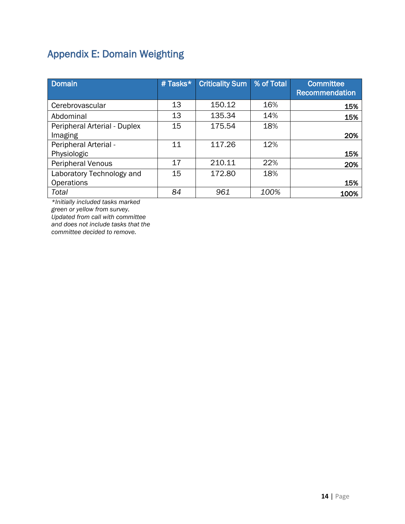# <span id="page-13-0"></span>Appendix E: Domain Weighting

| <b>Domain</b>                | # Tasks* | <b>Criticality Sum</b> | % of Total | <b>Committee</b><br>Recommendation |
|------------------------------|----------|------------------------|------------|------------------------------------|
| Cerebrovascular              | 13       | 150.12                 | 16%        | 15%                                |
| Abdominal                    | 13       | 135.34                 | 14%        | 15%                                |
| Peripheral Arterial - Duplex | 15       | 175.54                 | 18%        |                                    |
| Imaging                      |          |                        |            | 20%                                |
| Peripheral Arterial -        | 11       | 117.26                 | 12%        |                                    |
| Physiologic                  |          |                        |            | 15%                                |
| Peripheral Venous            | 17       | 210.11                 | 22%        | 20%                                |
| Laboratory Technology and    | 15       | 172.80                 | 18%        |                                    |
| <b>Operations</b>            |          |                        |            | 15%                                |
| Total                        | 84       | 961                    | 100%       | 100%                               |

*\*Initially included tasks marked green or yellow from survey. Updated from call with committee and does not include tasks that the committee decided to remove.*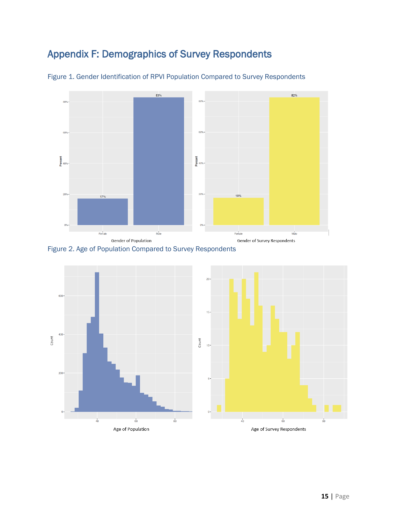### <span id="page-14-0"></span>Appendix F: Demographics of Survey Respondents



Figure 1. Gender Identification of RPVI Population Compared to Survey Respondents





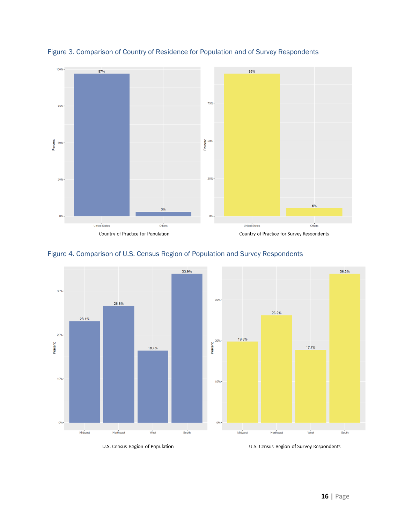

Figure 3. Comparison of Country of Residence for Population and of Survey Respondents



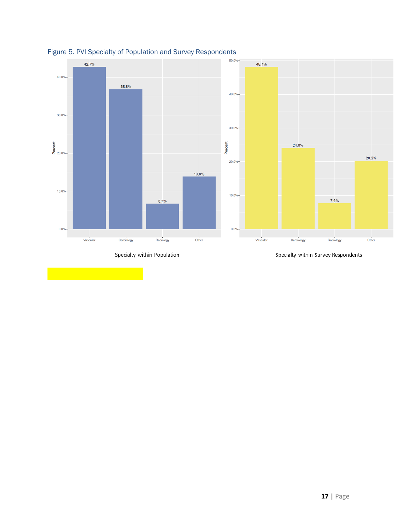



Specialty within Population

Specialty within Survey Respondents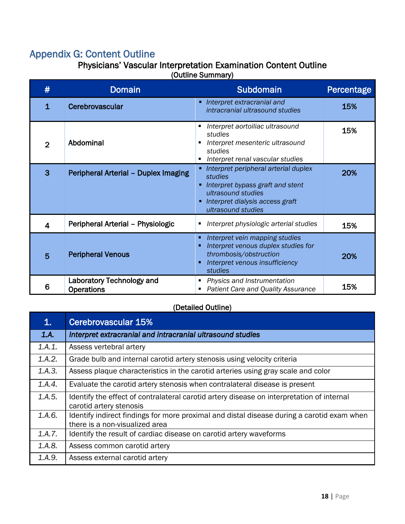### <span id="page-17-0"></span>Appendix G: Content Outline

### Physicians' Vascular Interpretation Examination Content Outline

(Outline Summary)

| #            | <b>Domain</b>                                  | <b>Subdomain</b>                                                                                                                                                       | Percentage |
|--------------|------------------------------------------------|------------------------------------------------------------------------------------------------------------------------------------------------------------------------|------------|
| $\mathbf{1}$ | Cerebrovascular                                | • Interpret extracranial and<br>intracranial ultrasound studies                                                                                                        | 15%        |
| 2            | Abdominal                                      | Interpret aortoiliac ultrasound<br>studies<br>Interpret mesenteric ultrasound<br>studies<br>Interpret renal vascular studies                                           | 15%        |
| 3            | Peripheral Arterial - Duplex Imaging           | • Interpret peripheral arterial duplex<br>studies<br>Interpret bypass graft and stent<br>ultrasound studies<br>• Interpret dialysis access graft<br>ultrasound studies | 20%        |
| 4            | Peripheral Arterial - Physiologic              | Interpret physiologic arterial studies                                                                                                                                 | 15%        |
| 5            | <b>Peripheral Venous</b>                       | Interpret vein mapping studies<br>Interpret venous duplex studies for<br>thrombosis/obstruction<br>Interpret venous insufficiency<br>studies                           | 20%        |
| 6            | Laboratory Technology and<br><b>Operations</b> | Physics and Instrumentation<br>٠<br><b>Patient Care and Quality Assurance</b>                                                                                          | 15%        |

(Detailed Outline)

| 1.     | Cerebrovascular 15%                                                                                                          |
|--------|------------------------------------------------------------------------------------------------------------------------------|
| 1.A.   | Interpret extracranial and intracranial ultrasound studies                                                                   |
| 1.A.1. | Assess vertebral artery                                                                                                      |
| 1.A.2. | Grade bulb and internal carotid artery stenosis using velocity criteria                                                      |
| 1.A.3. | Assess plaque characteristics in the carotid arteries using gray scale and color                                             |
| 1.A.4. | Evaluate the carotid artery stenosis when contralateral disease is present                                                   |
| 1.A.5. | Identify the effect of contralateral carotid artery disease on interpretation of internal<br>carotid artery stenosis         |
| 1.A.6. | Identify indirect findings for more proximal and distal disease during a carotid exam when<br>there is a non-visualized area |
| 1.A.7. | Identify the result of cardiac disease on carotid artery waveforms                                                           |
| 1.A.8. | Assess common carotid artery                                                                                                 |
| 1.A.9. | Assess external carotid artery                                                                                               |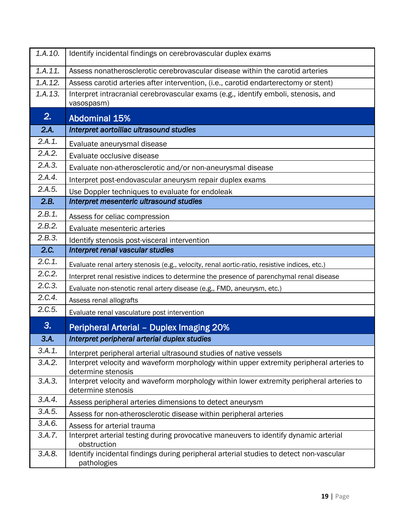| 1.A.10. | Identify incidental findings on cerebrovascular duplex exams                                                   |
|---------|----------------------------------------------------------------------------------------------------------------|
| 1.A.11. | Assess nonatherosclerotic cerebrovascular disease within the carotid arteries                                  |
| 1.A.12. | Assess carotid arteries after intervention, (i.e., carotid endarterectomy or stent)                            |
| 1.A.13. | Interpret intracranial cerebrovascular exams (e.g., identify emboli, stenosis, and<br>vasospasm)               |
| 2.      | <b>Abdominal 15%</b>                                                                                           |
| 2.A.    | Interpret aortoiliac ultrasound studies                                                                        |
| 2.A.1.  | Evaluate aneurysmal disease                                                                                    |
| 2.A.2.  | Evaluate occlusive disease                                                                                     |
| 2.A.3.  | Evaluate non-atherosclerotic and/or non-aneurysmal disease                                                     |
| 2.A.4.  | Interpret post-endovascular aneurysm repair duplex exams                                                       |
| 2.A.5.  | Use Doppler techniques to evaluate for endoleak                                                                |
| 2.B.    | Interpret mesenteric ultrasound studies                                                                        |
| 2.B.1.  | Assess for celiac compression                                                                                  |
| 2.B.2.  | Evaluate mesenteric arteries                                                                                   |
| 2.B.3.  | Identify stenosis post-visceral intervention                                                                   |
| 2.C.    | Interpret renal vascular studies                                                                               |
| 2.C.1.  | Evaluate renal artery stenosis (e.g., velocity, renal aortic-ratio, resistive indices, etc.)                   |
| 2.C.2.  | Interpret renal resistive indices to determine the presence of parenchymal renal disease                       |
| 2.C.3.  | Evaluate non-stenotic renal artery disease (e.g., FMD, aneurysm, etc.)                                         |
| 2.C.4.  | Assess renal allografts                                                                                        |
| 2.C.5.  | Evaluate renal vasculature post intervention                                                                   |
| 3.      | <b>Peripheral Arterial - Duplex Imaging 20%</b>                                                                |
| 3.A.    | Interpret peripheral arterial duplex studies                                                                   |
| 3.A.1.  | Interpret peripheral arterial ultrasound studies of native vessels                                             |
| 3.A.2.  | Interpret velocity and waveform morphology within upper extremity peripheral arteries to<br>determine stenosis |
| 3.A.3.  | Interpret velocity and waveform morphology within lower extremity peripheral arteries to<br>determine stenosis |
| 3.A.4.  | Assess peripheral arteries dimensions to detect aneurysm                                                       |
| 3.A.5.  | Assess for non-atherosclerotic disease within peripheral arteries                                              |
| 3.A.6.  | Assess for arterial trauma                                                                                     |
| 3.A.7.  | Interpret arterial testing during provocative maneuvers to identify dynamic arterial<br>obstruction            |
| 3.A.8.  | Identify incidental findings during peripheral arterial studies to detect non-vascular<br>pathologies          |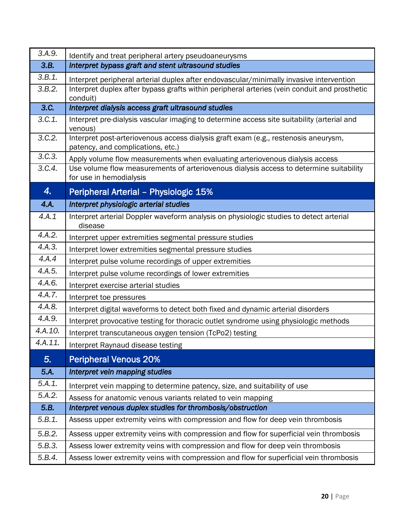| 3.A.9.  | Identify and treat peripheral artery pseudoaneurysms                                                                     |
|---------|--------------------------------------------------------------------------------------------------------------------------|
| 3.B.    | Interpret bypass graft and stent ultrasound studies                                                                      |
| 3.B.1.  | Interpret peripheral arterial duplex after endovascular/minimally invasive intervention                                  |
| 3.B.2.  | Interpret duplex after bypass grafts within peripheral arteries (vein conduit and prosthetic<br>conduit)                 |
| 3.C.    | Interpret dialysis access graft ultrasound studies                                                                       |
| 3.C.1.  | Interpret pre-dialysis vascular imaging to determine access site suitability (arterial and<br>venous)                    |
| 3.C.2.  | Interpret post-arteriovenous access dialysis graft exam (e.g., restenosis aneurysm,<br>patency, and complications, etc.) |
| 3.C.3.  | Apply volume flow measurements when evaluating arteriovenous dialysis access                                             |
| 3.C.4.  | Use volume flow measurements of arteriovenous dialysis access to determine suitability<br>for use in hemodialysis        |
| 4.      | Peripheral Arterial - Physiologic 15%                                                                                    |
| 4.A.    | Interpret physiologic arterial studies                                                                                   |
| 4.A.1   | Interpret arterial Doppler waveform analysis on physiologic studies to detect arterial<br>disease                        |
| 4.A.2.  | Interpret upper extremities segmental pressure studies                                                                   |
| 4.A.3.  | Interpret lower extremities segmental pressure studies                                                                   |
| 4.A.4   | Interpret pulse volume recordings of upper extremities                                                                   |
| 4.A.5.  | Interpret pulse volume recordings of lower extremities                                                                   |
| 4.A.6.  | Interpret exercise arterial studies                                                                                      |
| 4.A.7.  | Interpret toe pressures                                                                                                  |
| 4.A.8.  | Interpret digital waveforms to detect both fixed and dynamic arterial disorders                                          |
| 4.A.9.  | Interpret provocative testing for thoracic outlet syndrome using physiologic methods                                     |
| 4.A.10. | Interpret transcutaneous oxygen tension (TcPo2) testing                                                                  |
| 4.A.11  | Interpret Raynaud disease testing                                                                                        |
| 5.      | <b>Peripheral Venous 20%</b>                                                                                             |
| 5.A.    | Interpret vein mapping studies                                                                                           |
| 5.A.1.  | Interpret vein mapping to determine patency, size, and suitability of use                                                |
| 5.A.2.  | Assess for anatomic venous variants related to vein mapping                                                              |
| 5.B.    | Interpret venous duplex studies for thrombosis/obstruction                                                               |
| 5.B.1.  | Assess upper extremity veins with compression and flow for deep vein thrombosis                                          |
| 5.B.2.  | Assess upper extremity veins with compression and flow for superficial vein thrombosis                                   |
| 5.B.3.  | Assess lower extremity veins with compression and flow for deep vein thrombosis                                          |
| 5.B.4.  | Assess lower extremity veins with compression and flow for superficial vein thrombosis                                   |